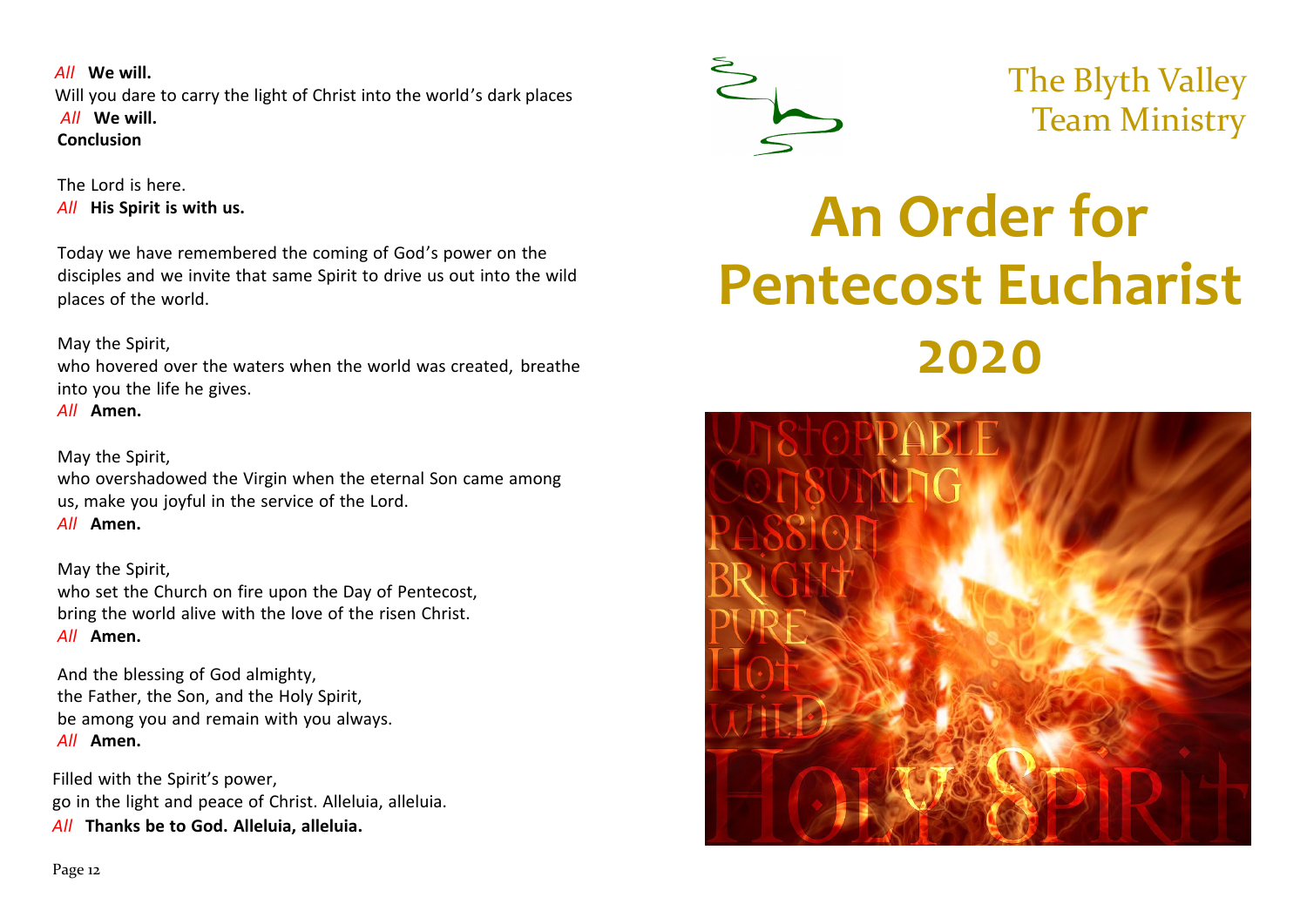*All* **We will.** Will you dare to carry the light of Christ into the world's dark places *All* **We will. Conclusion**

The Lord is here.

*All* **His Spirit is with us.**

Today we have remembered the coming of God's power on the disciples and we invite that same Spirit to drive us out into the wild places of the world.

## May the Spirit,

who hovered over the waters when the world was created, breathe into you the life he gives.

*All* **Amen.**

May the Spirit, who overshadowed the Virgin when the eternal Son came among us, make you joyful in the service of the Lord. *All* **Amen.**

May the Spirit, who set the Church on fire upon the Day of Pentecost, bring the world alive with the love of the risen Christ. *All* **Amen.**

And the blessing of God almighty, the Father, the Son, and the Holy Spirit, be among you and remain with you always. *All* **Amen.**

Filled with the Spirit's power, go in the light and peace of Christ. Alleluia, alleluia. *All* **Thanks be to God. Alleluia, alleluia.**



The Blyth Valley Team Ministry

# **An Order for Pentecost Eucharist 2020**

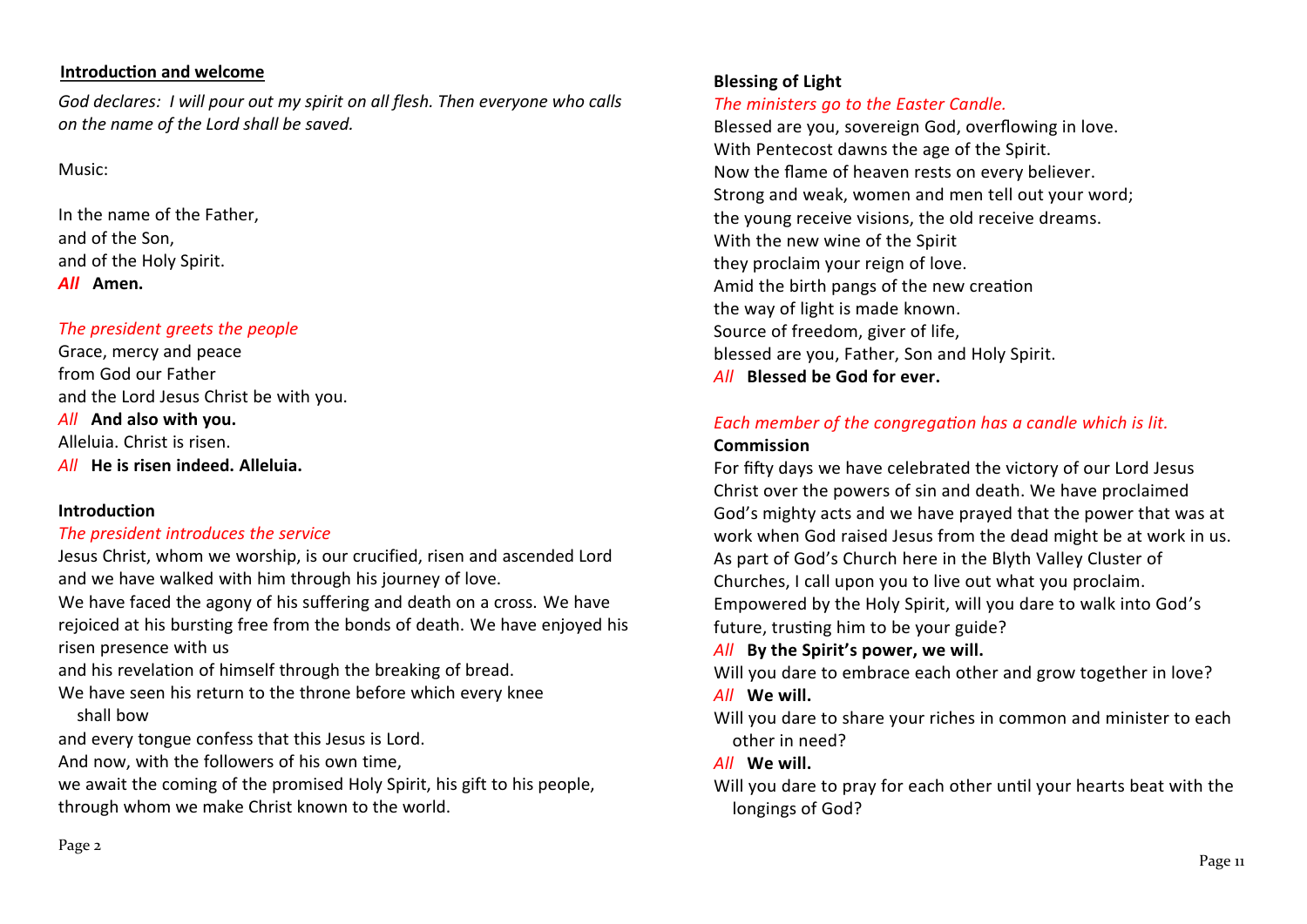#### **Introduction and welcome**

*God declares: I will pour out my spirit on all flesh. Then everyone who calls on the name of the Lord shall be saved.*

Music:

In the name of the Father, and of the Son, and of the Holy Spirit. *All* **Amen.**

#### *The president greets the people*

Grace, mercy and peace from God our Father and the Lord Jesus Christ be with you. *All* **And also with you.** Alleluia. Christ is risen. *All* **He is risen indeed. Alleluia.**

#### **Introduction**

#### *The president introduces the service*

Jesus Christ, whom we worship, is our crucified, risen and ascended Lord and we have walked with him through his journey of love.

We have faced the agony of his suffering and death on a cross. We have rejoiced at his bursting free from the bonds of death. We have enjoyed his risen presence with us

and his revelation of himself through the breaking of bread.

We have seen his return to the throne before which every knee

shall bow

and every tongue confess that this Jesus is Lord.

And now, with the followers of his own time,

we await the coming of the promised Holy Spirit, his gift to his people, through whom we make Christ known to the world.

## **Blessing of Light**

# *The ministers go to the Easter Candle.*

Blessed are you, sovereign God, overflowing in love. With Pentecost dawns the age of the Spirit. Now the flame of heaven rests on every believer. Strong and weak, women and men tell out your word; the young receive visions, the old receive dreams. With the new wine of the Spirit they proclaim your reign of love. Amid the birth pangs of the new creation the way of light is made known. Source of freedom, giver of life, blessed are you, Father, Son and Holy Spirit. *All* **Blessed be God for ever.**

# *Each member of the congregation has a candle which is lit.*  **Commission**

For fifty days we have celebrated the victory of our Lord Jesus Christ over the powers of sin and death. We have proclaimed God's mighty acts and we have prayed that the power that was at work when God raised Jesus from the dead might be at work in us. As part of God's Church here in the Blyth Valley Cluster of Churches, I call upon you to live out what you proclaim. Empowered by the Holy Spirit, will you dare to walk into God's future, trusting him to be your guide?

# *All* **By the Spirit's power, we will.**

Will you dare to embrace each other and grow together in love?

# *All* **We will.**

Will you dare to share your riches in common and minister to each other in need?

*All* **We will.**

Will you dare to pray for each other until your hearts beat with the longings of God?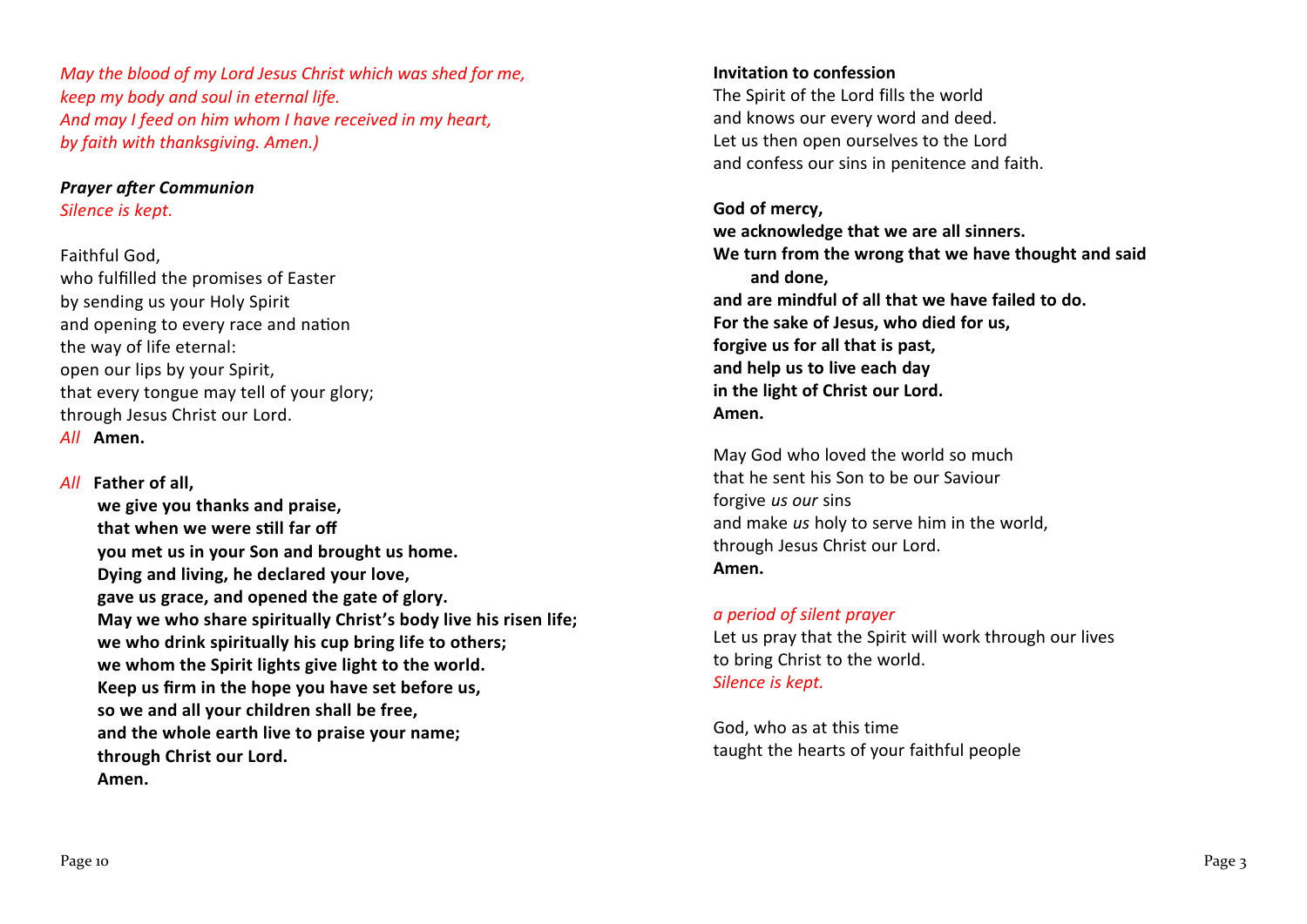*May the blood of my Lord Jesus Christ which was shed for me, keep my body and soul in eternal life. And may I feed on him whom I have received in my heart, by faith with thanksgiving. Amen.)*

# *Prayer after Communion*

*Silence is kept.*

## Faithful God,

who fulfilled the promises of Easter by sending us your Holy Spirit and opening to every race and nation the way of life eternal: open our lips by your Spirit, that every tongue may tell of your glory; through Jesus Christ our Lord. *All* **Amen.**

#### *All* **Father of all,**

**we give you thanks and praise, that when we were still far off you met us in your Son and brought us home. Dying and living, he declared your love, gave us grace, and opened the gate of glory. May we who share spiritually Christ's body live his risen life; we who drink spiritually his cup bring life to others; we whom the Spirit lights give light to the world. Keep us firm in the hope you have set before us, so we and all your children shall be free, and the whole earth live to praise your name; through Christ our Lord. Amen.**

**Invitation to confession**

The Spirit of the Lord fills the world and knows our every word and deed. Let us then open ourselves to the Lord and confess our sins in penitence and faith.

#### **God of mercy,**

**we acknowledge that we are all sinners. We turn from the wrong that we have thought and said and done, and are mindful of all that we have failed to do. For the sake of Jesus, who died for us, forgive us for all that is past, and help us to live each day in the light of Christ our Lord. Amen.**

May God who loved the world so much that he sent his Son to be our Saviour forgive *us our* sins and make *us* holy to serve him in the world, through Jesus Christ our Lord. **Amen.**

#### *a period of silent prayer*

Let us pray that the Spirit will work through our lives to bring Christ to the world. *Silence is kept.*

God, who as at this time taught the hearts of your faithful people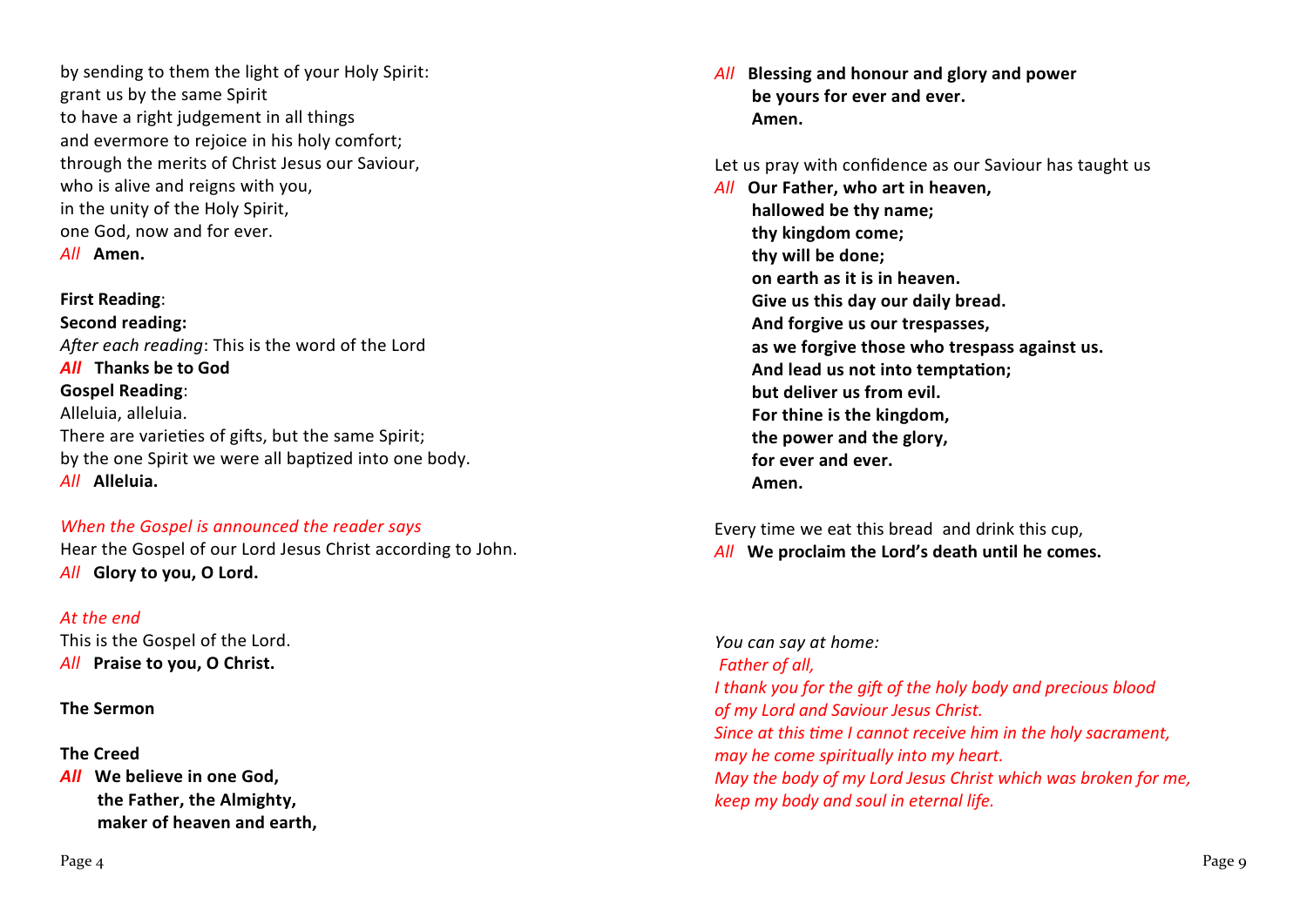by sending to them the light of your Holy Spirit: grant us by the same Spirit to have a right judgement in all things and evermore to rejoice in his holy comfort; through the merits of Christ Jesus our Saviour, who is alive and reigns with you, in the unity of the Holy Spirit, one God, now and for ever.

*All* **Amen.**

**First Reading**: **Second reading:** *After each reading*: This is the word of the Lord *All* **Thanks be to God Gospel Reading**: Alleluia, alleluia. There are varieties of gifts, but the same Spirit; by the one Spirit we were all baptized into one body. *All* **Alleluia.**

#### *When the Gospel is announced the reader says*

Hear the Gospel of our Lord Jesus Christ according to John. *All* **Glory to you, O Lord.**

#### *At the end*

This is the Gospel of the Lord. *All* **Praise to you, O Christ.**

**The Sermon**

#### **The Creed**

*All* **We believe in one God, the Father, the Almighty, maker of heaven and earth,** *All* **Blessing and honour and glory and power be yours for ever and ever. Amen.**

Let us pray with confidence as our Saviour has taught us

*All* **Our Father, who art in heaven, hallowed be thy name; thy kingdom come; thy will be done; on earth as it is in heaven. Give us this day our daily bread. And forgive us our trespasses, as we forgive those who trespass against us. And lead us not into temptation; but deliver us from evil. For thine is the kingdom, the power and the glory, for ever and ever. Amen.**

Every time we eat this bread and drink this cup, *All* **We proclaim the Lord's death until he comes.**

*You can say at home: Father of all, I thank you for the gift of the holy body and precious blood of my Lord and Saviour Jesus Christ. Since at this time I cannot receive him in the holy sacrament, may he come spiritually into my heart. May the body of my Lord Jesus Christ which was broken for me, keep my body and soul in eternal life.*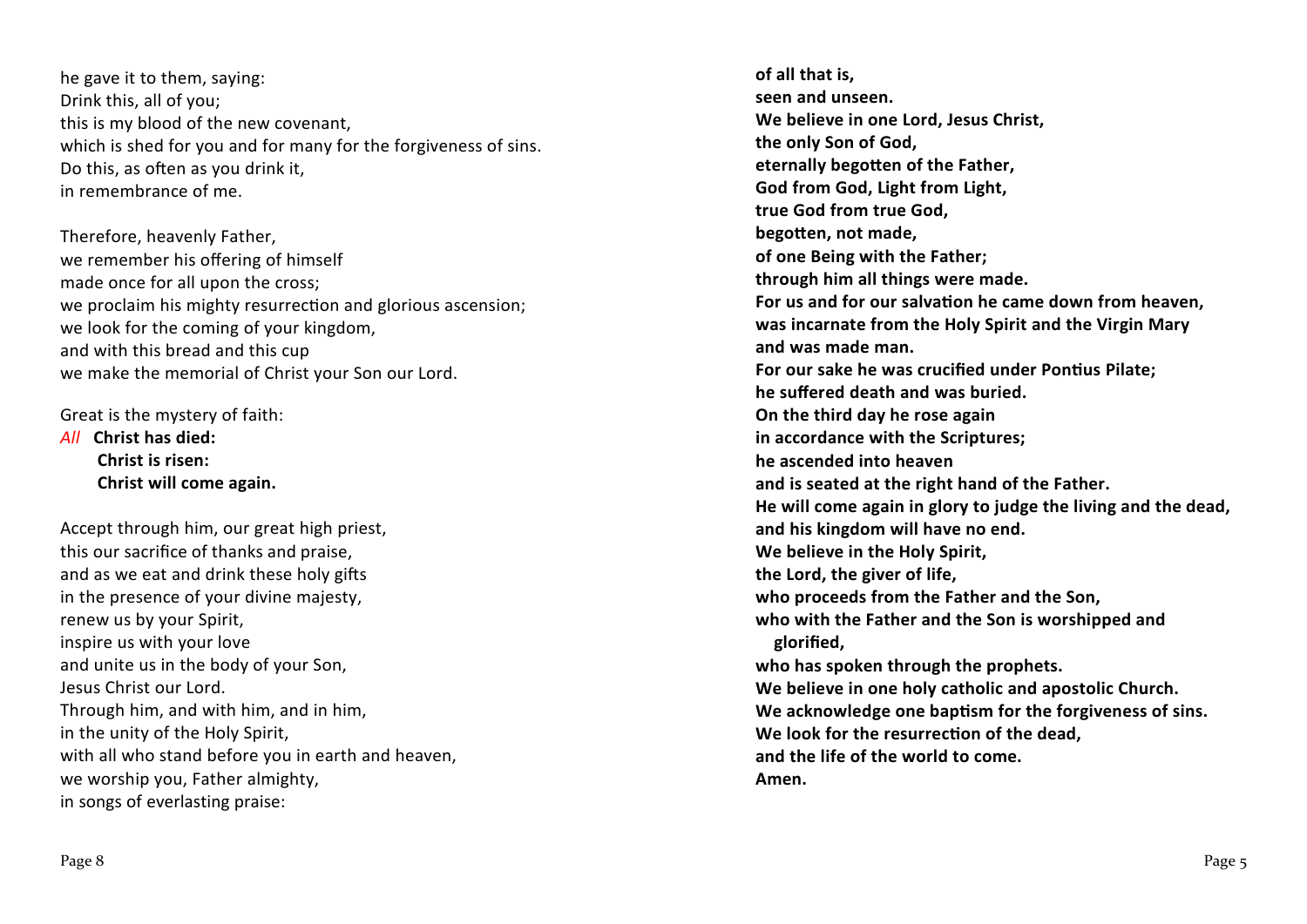he gave it to them, saying: Drink this, all of you; this is my blood of the new covenant, which is shed for you and for many for the forgiveness of sins. Do this, as often as you drink it, in remembrance of me.

Therefore, heavenly Father, we remember his offering of himself made once for all upon the cross; we proclaim his mighty resurrection and glorious ascension; we look for the coming of your kingdom, and with this bread and this cup we make the memorial of Christ your Son our Lord.

Great is the mystery of faith:

*All* **Christ has died: Christ is risen: Christ will come again.**

Accept through him, our great high priest, this our sacrifice of thanks and praise, and as we eat and drink these holy gifts in the presence of your divine majesty, renew us by your Spirit, inspire us with your love and unite us in the body of your Son, Jesus Christ our Lord. Through him, and with him, and in him, in the unity of the Holy Spirit, with all who stand before you in earth and heaven, we worship you, Father almighty, in songs of everlasting praise:

**of all that is, seen and unseen. We believe in one Lord, Jesus Christ, the only Son of God, eternally begotten of the Father, God from God, Light from Light, true God from true God, begotten, not made, of one Being with the Father; through him all things were made. For us and for our salvation he came down from heaven, was incarnate from the Holy Spirit and the Virgin Mary and was made man. For our sake he was crucified under Pontius Pilate; he suffered death and was buried. On the third day he rose again in accordance with the Scriptures; he ascended into heaven and is seated at the right hand of the Father. He will come again in glory to judge the living and the dead, and his kingdom will have no end. We believe in the Holy Spirit, the Lord, the giver of life, who proceeds from the Father and the Son, who with the Father and the Son is worshipped and glorified, who has spoken through the prophets. We believe in one holy catholic and apostolic Church. We acknowledge one baptism for the forgiveness of sins. We look for the resurrection of the dead, and the life of the world to come. Amen.**